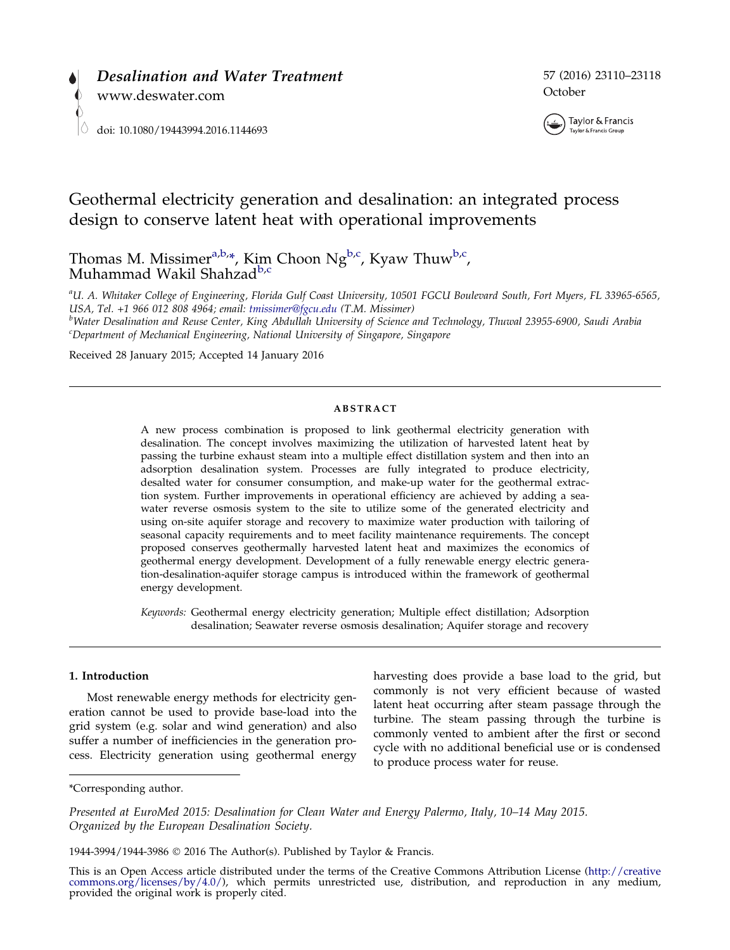



# Geothermal electricity generation and desalination: an integrated process design to conserve latent heat with operational improvements

Thomas M. Missimer<sup>a,b,\*</sup>, Kim Choon Ng<sup>b,c</sup>, Kyaw Thuw<sup>b,c</sup>, Muhammad Wakil Shahzad<sup>b,c</sup>

<sup>a</sup>U. A. Whitaker College of Engineering, Florida Gulf Coast University, 10501 FGCU Boulevard South, Fort Myers, FL 33965-6565, USA, Tel. +1 966 012 808 4964; email: [tmissimer@fgcu.edu](mailto:tmissimer@fgcu.edu) (T.M. Missimer) <sup>b</sup>

<sup>b</sup>Water Desalination and Reuse Center, King Abdullah University of Science and Technology, Thuwal 23955-6900, Saudi Arabia <sup>c</sup>Department of Mechanical Engineering, National University of Singapore, Singapore

Received 28 January 2015; Accepted 14 January 2016

#### ABSTRACT

A new process combination is proposed to link geothermal electricity generation with desalination. The concept involves maximizing the utilization of harvested latent heat by passing the turbine exhaust steam into a multiple effect distillation system and then into an adsorption desalination system. Processes are fully integrated to produce electricity, desalted water for consumer consumption, and make-up water for the geothermal extraction system. Further improvements in operational efficiency are achieved by adding a seawater reverse osmosis system to the site to utilize some of the generated electricity and using on-site aquifer storage and recovery to maximize water production with tailoring of seasonal capacity requirements and to meet facility maintenance requirements. The concept proposed conserves geothermally harvested latent heat and maximizes the economics of geothermal energy development. Development of a fully renewable energy electric generation-desalination-aquifer storage campus is introduced within the framework of geothermal energy development.

Keywords: Geothermal energy electricity generation; Multiple effect distillation; Adsorption desalination; Seawater reverse osmosis desalination; Aquifer storage and recovery

#### 1. Introduction

Most renewable energy methods for electricity generation cannot be used to provide base-load into the grid system (e.g. solar and wind generation) and also suffer a number of inefficiencies in the generation process. Electricity generation using geothermal energy harvesting does provide a base load to the grid, but commonly is not very efficient because of wasted latent heat occurring after steam passage through the turbine. The steam passing through the turbine is commonly vented to ambient after the first or second cycle with no additional beneficial use or is condensed to produce process water for reuse.

\*Corresponding author.

1944-3994/1944-3986 2016 The Author(s). Published by Taylor & Francis.

This is an Open Access article distributed under the terms of the Creative Commons Attribution License [\(http://creative](http://creativecommons.org/licenses/by/4.0/) [commons.org/licenses/by/4.0/](http://creativecommons.org/licenses/by/4.0/)), which permits unrestricted use, distribution, and reproduction in any m

Presented at EuroMed 2015: Desalination for Clean Water and Energy Palermo, Italy, 10–14 May 2015. Organized by the European Desalination Society.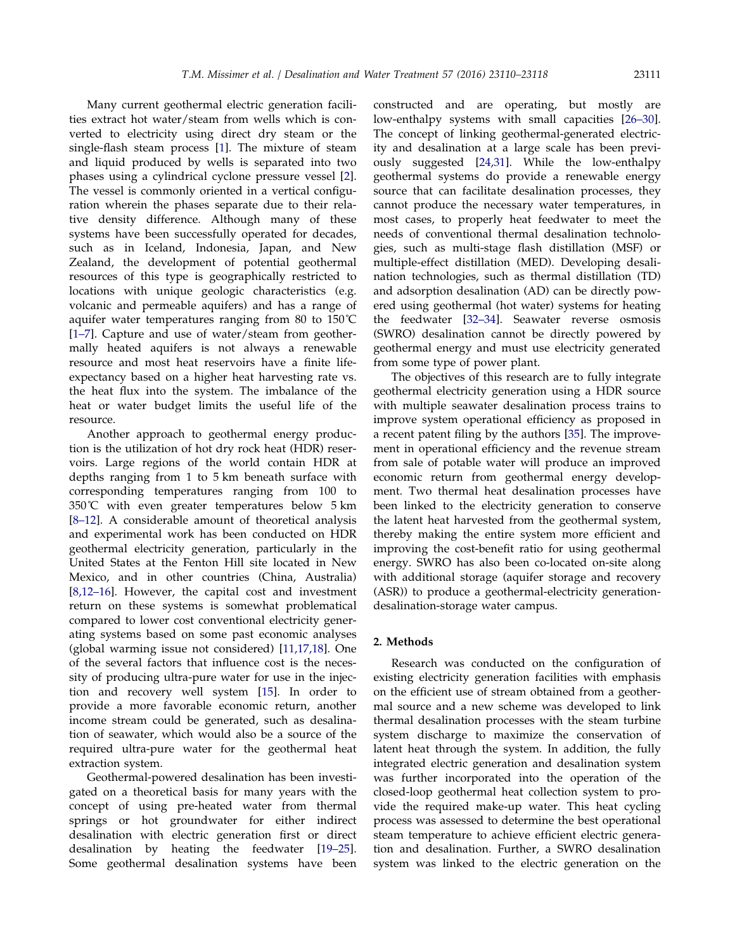Many current geothermal electric generation facilities extract hot water/steam from wells which is converted to electricity using direct dry steam or the single-flash steam process [[1\]](#page-7-0). The mixture of steam and liquid produced by wells is separated into two phases using a cylindrical cyclone pressure vessel [\[2](#page-7-0)]. The vessel is commonly oriented in a vertical configuration wherein the phases separate due to their relative density difference. Although many of these systems have been successfully operated for decades, such as in Iceland, Indonesia, Japan, and New Zealand, the development of potential geothermal resources of this type is geographically restricted to locations with unique geologic characteristics (e.g. volcanic and permeable aquifers) and has a range of aquifer water temperatures ranging from 80 to 150˚C [[1–7\]](#page-7-0). Capture and use of water/steam from geothermally heated aquifers is not always a renewable resource and most heat reservoirs have a finite lifeexpectancy based on a higher heat harvesting rate vs. the heat flux into the system. The imbalance of the heat or water budget limits the useful life of the resource.

Another approach to geothermal energy production is the utilization of hot dry rock heat (HDR) reservoirs. Large regions of the world contain HDR at depths ranging from 1 to 5 km beneath surface with corresponding temperatures ranging from 100 to  $350^{\circ}$ C with even greater temperatures below 5 km [[8–12](#page-7-0)]. A considerable amount of theoretical analysis and experimental work has been conducted on HDR geothermal electricity generation, particularly in the United States at the Fenton Hill site located in New Mexico, and in other countries (China, Australia) [[8,12–16](#page-7-0)]. However, the capital cost and investment return on these systems is somewhat problematical compared to lower cost conventional electricity generating systems based on some past economic analyses (global warming issue not considered) [\[11,17,18](#page-7-0)]. One of the several factors that influence cost is the necessity of producing ultra-pure water for use in the injection and recovery well system [[15](#page-7-0)]. In order to provide a more favorable economic return, another income stream could be generated, such as desalination of seawater, which would also be a source of the required ultra-pure water for the geothermal heat extraction system.

Geothermal-powered desalination has been investigated on a theoretical basis for many years with the concept of using pre-heated water from thermal springs or hot groundwater for either indirect desalination with electric generation first or direct desalination by heating the feedwater [[19–25](#page-7-0)]. Some geothermal desalination systems have been

constructed and are operating, but mostly are low-enthalpy systems with small capacities [\[26–30](#page-7-0)]. The concept of linking geothermal-generated electricity and desalination at a large scale has been previously suggested [\[24,31](#page-7-0)]. While the low-enthalpy geothermal systems do provide a renewable energy source that can facilitate desalination processes, they cannot produce the necessary water temperatures, in most cases, to properly heat feedwater to meet the needs of conventional thermal desalination technologies, such as multi-stage flash distillation (MSF) or multiple-effect distillation (MED). Developing desalination technologies, such as thermal distillation (TD) and adsorption desalination (AD) can be directly powered using geothermal (hot water) systems for heating the feedwater [[32–34](#page-8-0)]. Seawater reverse osmosis (SWRO) desalination cannot be directly powered by geothermal energy and must use electricity generated from some type of power plant.

The objectives of this research are to fully integrate geothermal electricity generation using a HDR source with multiple seawater desalination process trains to improve system operational efficiency as proposed in a recent patent filing by the authors [\[35](#page-8-0)]. The improvement in operational efficiency and the revenue stream from sale of potable water will produce an improved economic return from geothermal energy development. Two thermal heat desalination processes have been linked to the electricity generation to conserve the latent heat harvested from the geothermal system, thereby making the entire system more efficient and improving the cost-benefit ratio for using geothermal energy. SWRO has also been co-located on-site along with additional storage (aquifer storage and recovery (ASR)) to produce a geothermal-electricity generationdesalination-storage water campus.

## 2. Methods

Research was conducted on the configuration of existing electricity generation facilities with emphasis on the efficient use of stream obtained from a geothermal source and a new scheme was developed to link thermal desalination processes with the steam turbine system discharge to maximize the conservation of latent heat through the system. In addition, the fully integrated electric generation and desalination system was further incorporated into the operation of the closed-loop geothermal heat collection system to provide the required make-up water. This heat cycling process was assessed to determine the best operational steam temperature to achieve efficient electric generation and desalination. Further, a SWRO desalination system was linked to the electric generation on the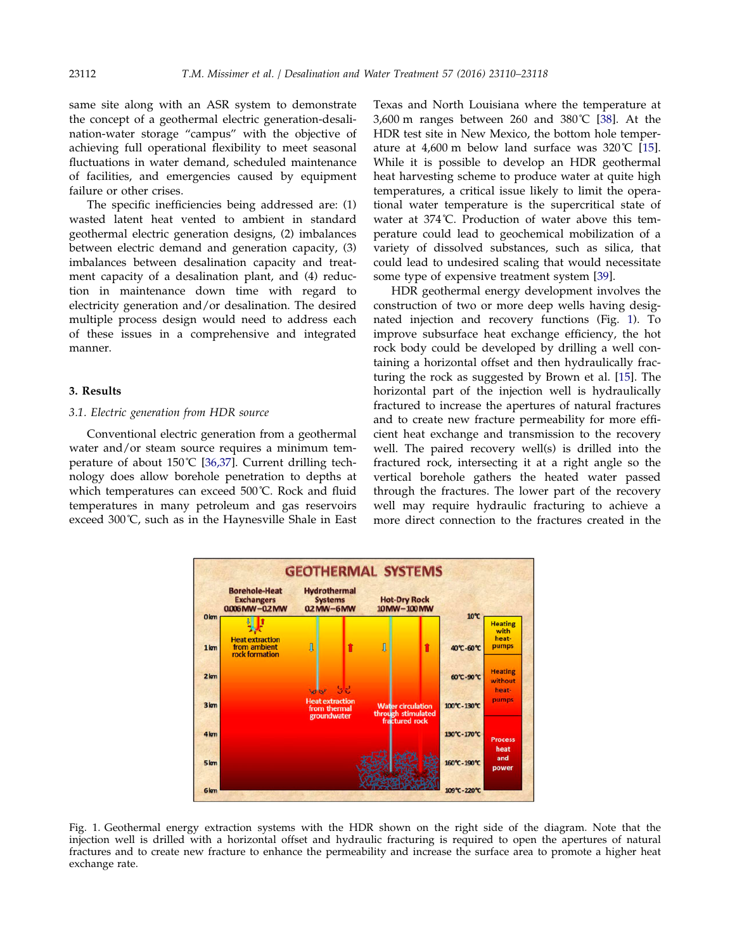same site along with an ASR system to demonstrate the concept of a geothermal electric generation-desalination-water storage "campus" with the objective of achieving full operational flexibility to meet seasonal fluctuations in water demand, scheduled maintenance of facilities, and emergencies caused by equipment failure or other crises.

The specific inefficiencies being addressed are: (1) wasted latent heat vented to ambient in standard geothermal electric generation designs, (2) imbalances between electric demand and generation capacity, (3) imbalances between desalination capacity and treatment capacity of a desalination plant, and (4) reduction in maintenance down time with regard to electricity generation and/or desalination. The desired multiple process design would need to address each of these issues in a comprehensive and integrated manner.

## 3. Results

## 3.1. Electric generation from HDR source

Conventional electric generation from a geothermal water and/or steam source requires a minimum temperature of about 150˚C [\[36,37](#page-8-0)]. Current drilling technology does allow borehole penetration to depths at which temperatures can exceed 500˚C. Rock and fluid temperatures in many petroleum and gas reservoirs exceed 300˚C, such as in the Haynesville Shale in East

Texas and North Louisiana where the temperature at 3,600 m ranges between 260 and 380˚C [\[38](#page-8-0)]. At the HDR test site in New Mexico, the bottom hole temperature at 4,600 m below land surface was 320˚C [[15](#page-7-0)]. While it is possible to develop an HDR geothermal heat harvesting scheme to produce water at quite high temperatures, a critical issue likely to limit the operational water temperature is the supercritical state of water at 374˚C. Production of water above this temperature could lead to geochemical mobilization of a variety of dissolved substances, such as silica, that could lead to undesired scaling that would necessitate some type of expensive treatment system [[39](#page-8-0)].

HDR geothermal energy development involves the construction of two or more deep wells having designated injection and recovery functions (Fig. 1). To improve subsurface heat exchange efficiency, the hot rock body could be developed by drilling a well containing a horizontal offset and then hydraulically fracturing the rock as suggested by Brown et al. [[15](#page-7-0)]. The horizontal part of the injection well is hydraulically fractured to increase the apertures of natural fractures and to create new fracture permeability for more efficient heat exchange and transmission to the recovery well. The paired recovery well(s) is drilled into the fractured rock, intersecting it at a right angle so the vertical borehole gathers the heated water passed through the fractures. The lower part of the recovery well may require hydraulic fracturing to achieve a more direct connection to the fractures created in the



Fig. 1. Geothermal energy extraction systems with the HDR shown on the right side of the diagram. Note that the injection well is drilled with a horizontal offset and hydraulic fracturing is required to open the apertures of natural fractures and to create new fracture to enhance the permeability and increase the surface area to promote a higher heat exchange rate.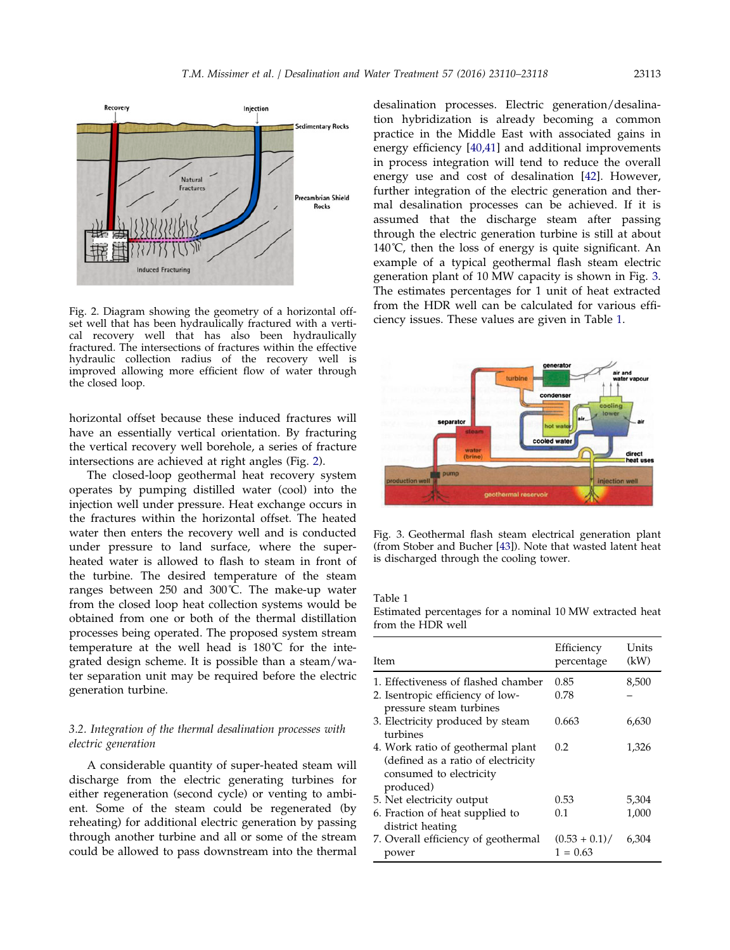

Fig. 2. Diagram showing the geometry of a horizontal off-<br>Fig. 2. Diagram showing the geometry of a horizontal off-<br>ciency issues. These values are given in Table 1. set well that has been hydraulically fractured with a vertical recovery well that has also been hydraulically fractured. The intersections of fractures within the effective hydraulic collection radius of the recovery well is improved allowing more efficient flow of water through the closed loop.

horizontal offset because these induced fractures will have an essentially vertical orientation. By fracturing the vertical recovery well borehole, a series of fracture intersections are achieved at right angles (Fig. 2).

The closed-loop geothermal heat recovery system operates by pumping distilled water (cool) into the injection well under pressure. Heat exchange occurs in the fractures within the horizontal offset. The heated water then enters the recovery well and is conducted under pressure to land surface, where the superheated water is allowed to flash to steam in front of the turbine. The desired temperature of the steam ranges between 250 and 300˚C. The make-up water from the closed loop heat collection systems would be obtained from one or both of the thermal distillation processes being operated. The proposed system stream temperature at the well head is 180˚C for the integrated design scheme. It is possible than a steam/water separation unit may be required before the electric generation turbine.

# 3.2. Integration of the thermal desalination processes with electric generation

A considerable quantity of super-heated steam will discharge from the electric generating turbines for either regeneration (second cycle) or venting to ambient. Some of the steam could be regenerated (by reheating) for additional electric generation by passing through another turbine and all or some of the stream could be allowed to pass downstream into the thermal

desalination processes. Electric generation/desalination hybridization is already becoming a common practice in the Middle East with associated gains in energy efficiency [[40,41\]](#page-8-0) and additional improvements in process integration will tend to reduce the overall energy use and cost of desalination [\[42](#page-8-0)]. However, further integration of the electric generation and thermal desalination processes can be achieved. If it is assumed that the discharge steam after passing through the electric generation turbine is still at about 140 $^{\circ}$ C, then the loss of energy is quite significant. An example of a typical geothermal flash steam electric generation plant of 10 MW capacity is shown in Fig. 3. The estimates percentages for 1 unit of heat extracted from the HDR well can be calculated for various effi-



Fig. 3. Geothermal flash steam electrical generation plant (from Stober and Bucher [\[43](#page-8-0)]). Note that wasted latent heat is discharged through the cooling tower.

# Table 1

Estimated percentages for a nominal 10 MW extracted heat from the HDR well

| Item                                                                                                            | Efficiency<br>percentage       | Units<br>(kW) |
|-----------------------------------------------------------------------------------------------------------------|--------------------------------|---------------|
| 1. Effectiveness of flashed chamber                                                                             | 0.85                           | 8,500         |
| 2. Isentropic efficiency of low-<br>pressure steam turbines                                                     | 0.78                           |               |
| 3. Electricity produced by steam<br>turbines                                                                    | 0.663                          | 6,630         |
| 4. Work ratio of geothermal plant<br>(defined as a ratio of electricity<br>consumed to electricity<br>produced) | $0.2^{\circ}$                  | 1,326         |
| 5. Net electricity output                                                                                       | 0.53                           | 5,304         |
| 6. Fraction of heat supplied to<br>district heating                                                             | 0.1                            | 1,000         |
| 7. Overall efficiency of geothermal<br>power                                                                    | $(0.53 + 0.1)$ /<br>$1 = 0.63$ | 6,304         |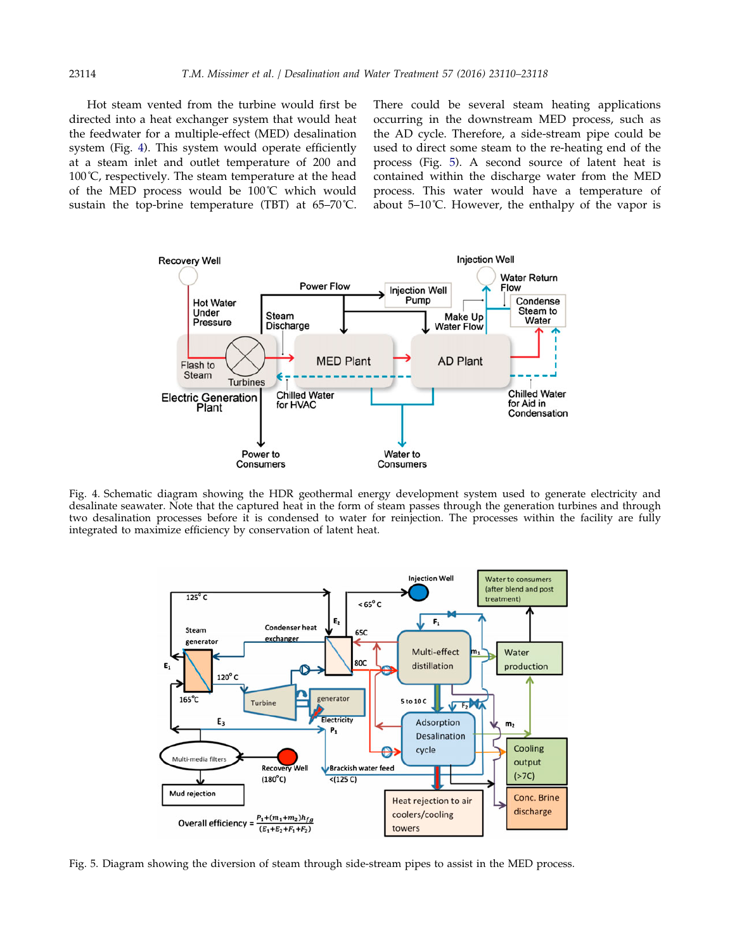Hot steam vented from the turbine would first be directed into a heat exchanger system that would heat the feedwater for a multiple-effect (MED) desalination system (Fig. 4). This system would operate efficiently at a steam inlet and outlet temperature of 200 and 100˚C, respectively. The steam temperature at the head of the MED process would be 100˚C which would sustain the top-brine temperature (TBT) at 65–70˚C.

There could be several steam heating applications occurring in the downstream MED process, such as the AD cycle. Therefore, a side-stream pipe could be used to direct some steam to the re-heating end of the process (Fig. 5). A second source of latent heat is contained within the discharge water from the MED process. This water would have a temperature of about  $5-10^{\circ}$ C. However, the enthalpy of the vapor is



Fig. 4. Schematic diagram showing the HDR geothermal energy development system used to generate electricity and desalinate seawater. Note that the captured heat in the form of steam passes through the generation turbines and through two desalination processes before it is condensed to water for reinjection. The processes within the facility are fully integrated to maximize efficiency by conservation of latent heat.



Fig. 5. Diagram showing the diversion of steam through side-stream pipes to assist in the MED process.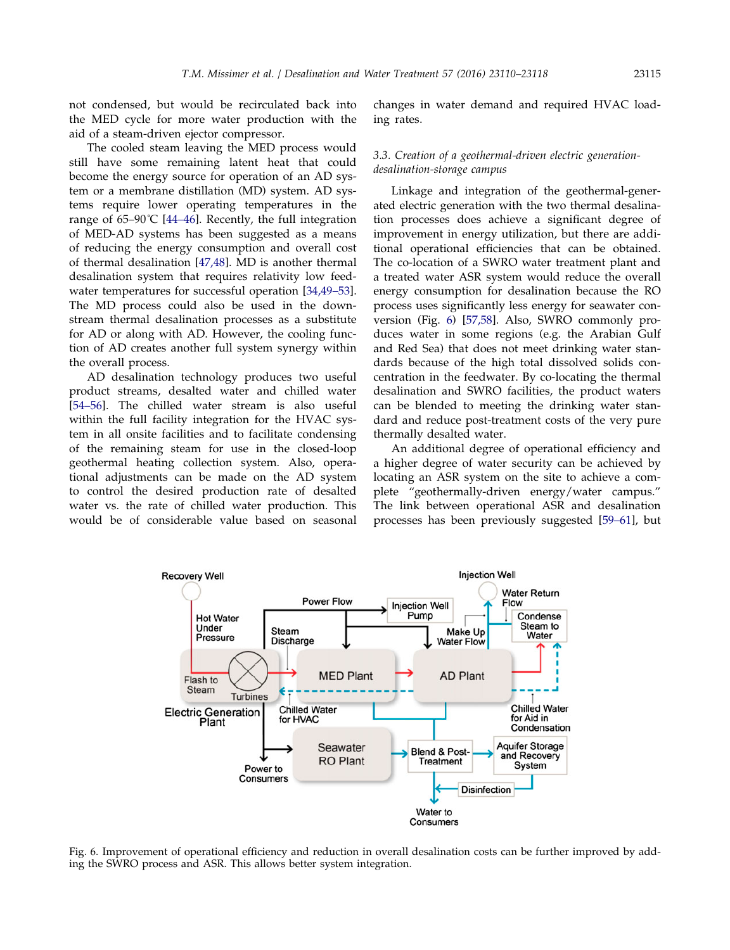not condensed, but would be recirculated back into the MED cycle for more water production with the aid of a steam-driven ejector compressor.

The cooled steam leaving the MED process would still have some remaining latent heat that could become the energy source for operation of an AD system or a membrane distillation (MD) system. AD systems require lower operating temperatures in the range of  $65-90^{\circ}C$  [44-46]. Recently, the full integration of MED-AD systems has been suggested as a means of reducing the energy consumption and overall cost of thermal desalination [\[47,48\]](#page-8-0). MD is another thermal desalination system that requires relativity low feedwater temperatures for successful operation [[34,49–53](#page-8-0)]. The MD process could also be used in the downstream thermal desalination processes as a substitute for AD or along with AD. However, the cooling function of AD creates another full system synergy within the overall process.

AD desalination technology produces two useful product streams, desalted water and chilled water [[54–56](#page-8-0)]. The chilled water stream is also useful within the full facility integration for the HVAC system in all onsite facilities and to facilitate condensing of the remaining steam for use in the closed-loop geothermal heating collection system. Also, operational adjustments can be made on the AD system to control the desired production rate of desalted water vs. the rate of chilled water production. This would be of considerable value based on seasonal

changes in water demand and required HVAC loading rates.

# 3.3. Creation of a geothermal-driven electric generationdesalination-storage campus

Linkage and integration of the geothermal-generated electric generation with the two thermal desalination processes does achieve a significant degree of improvement in energy utilization, but there are additional operational efficiencies that can be obtained. The co-location of a SWRO water treatment plant and a treated water ASR system would reduce the overall energy consumption for desalination because the RO process uses significantly less energy for seawater conversion (Fig. 6) [\[57,58](#page-8-0)]. Also, SWRO commonly produces water in some regions (e.g. the Arabian Gulf and Red Sea) that does not meet drinking water standards because of the high total dissolved solids concentration in the feedwater. By co-locating the thermal desalination and SWRO facilities, the product waters can be blended to meeting the drinking water standard and reduce post-treatment costs of the very pure thermally desalted water.

An additional degree of operational efficiency and a higher degree of water security can be achieved by locating an ASR system on the site to achieve a complete "geothermally-driven energy/water campus." The link between operational ASR and desalination processes has been previously suggested [\[59–61](#page-8-0)], but



Fig. 6. Improvement of operational efficiency and reduction in overall desalination costs can be further improved by adding the SWRO process and ASR. This allows better system integration.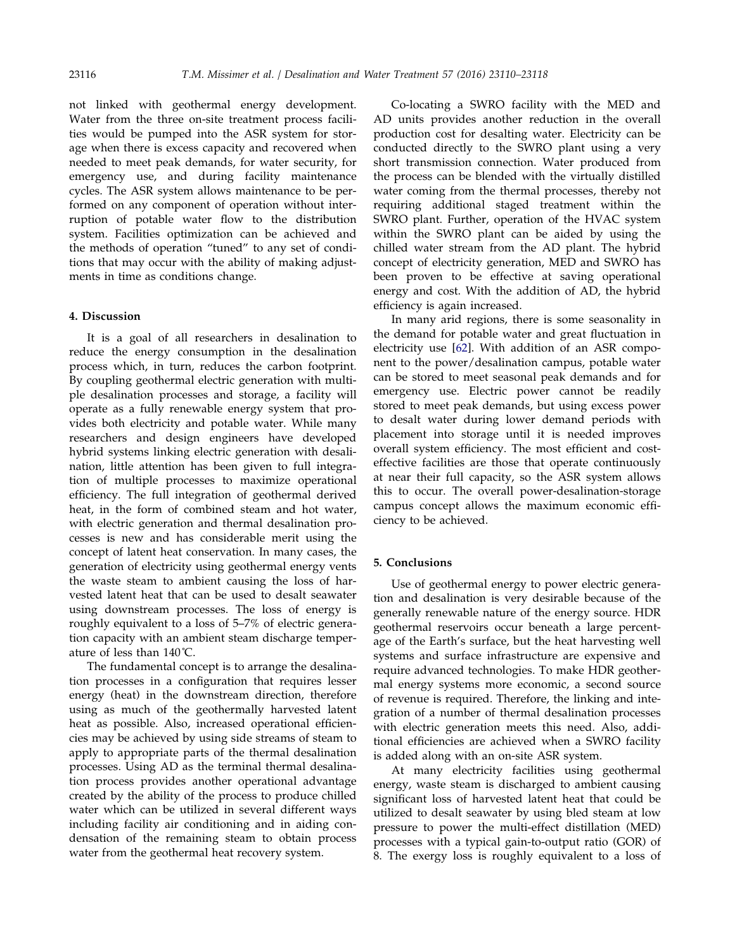not linked with geothermal energy development. Water from the three on-site treatment process facilities would be pumped into the ASR system for storage when there is excess capacity and recovered when needed to meet peak demands, for water security, for emergency use, and during facility maintenance cycles. The ASR system allows maintenance to be performed on any component of operation without interruption of potable water flow to the distribution system. Facilities optimization can be achieved and the methods of operation "tuned" to any set of conditions that may occur with the ability of making adjustments in time as conditions change.

## 4. Discussion

It is a goal of all researchers in desalination to reduce the energy consumption in the desalination process which, in turn, reduces the carbon footprint. By coupling geothermal electric generation with multiple desalination processes and storage, a facility will operate as a fully renewable energy system that provides both electricity and potable water. While many researchers and design engineers have developed hybrid systems linking electric generation with desalination, little attention has been given to full integration of multiple processes to maximize operational efficiency. The full integration of geothermal derived heat, in the form of combined steam and hot water, with electric generation and thermal desalination processes is new and has considerable merit using the concept of latent heat conservation. In many cases, the generation of electricity using geothermal energy vents the waste steam to ambient causing the loss of harvested latent heat that can be used to desalt seawater using downstream processes. The loss of energy is roughly equivalent to a loss of 5–7% of electric generation capacity with an ambient steam discharge temperature of less than 140˚C.

The fundamental concept is to arrange the desalination processes in a configuration that requires lesser energy (heat) in the downstream direction, therefore using as much of the geothermally harvested latent heat as possible. Also, increased operational efficiencies may be achieved by using side streams of steam to apply to appropriate parts of the thermal desalination processes. Using AD as the terminal thermal desalination process provides another operational advantage created by the ability of the process to produce chilled water which can be utilized in several different ways including facility air conditioning and in aiding condensation of the remaining steam to obtain process water from the geothermal heat recovery system.

Co-locating a SWRO facility with the MED and AD units provides another reduction in the overall production cost for desalting water. Electricity can be conducted directly to the SWRO plant using a very short transmission connection. Water produced from the process can be blended with the virtually distilled water coming from the thermal processes, thereby not requiring additional staged treatment within the SWRO plant. Further, operation of the HVAC system within the SWRO plant can be aided by using the chilled water stream from the AD plant. The hybrid concept of electricity generation, MED and SWRO has been proven to be effective at saving operational energy and cost. With the addition of AD, the hybrid efficiency is again increased.

In many arid regions, there is some seasonality in the demand for potable water and great fluctuation in electricity use [[62](#page-8-0)]. With addition of an ASR component to the power/desalination campus, potable water can be stored to meet seasonal peak demands and for emergency use. Electric power cannot be readily stored to meet peak demands, but using excess power to desalt water during lower demand periods with placement into storage until it is needed improves overall system efficiency. The most efficient and costeffective facilities are those that operate continuously at near their full capacity, so the ASR system allows this to occur. The overall power-desalination-storage campus concept allows the maximum economic efficiency to be achieved.

#### 5. Conclusions

Use of geothermal energy to power electric generation and desalination is very desirable because of the generally renewable nature of the energy source. HDR geothermal reservoirs occur beneath a large percentage of the Earth's surface, but the heat harvesting well systems and surface infrastructure are expensive and require advanced technologies. To make HDR geothermal energy systems more economic, a second source of revenue is required. Therefore, the linking and integration of a number of thermal desalination processes with electric generation meets this need. Also, additional efficiencies are achieved when a SWRO facility is added along with an on-site ASR system.

At many electricity facilities using geothermal energy, waste steam is discharged to ambient causing significant loss of harvested latent heat that could be utilized to desalt seawater by using bled steam at low pressure to power the multi-effect distillation (MED) processes with a typical gain-to-output ratio (GOR) of 8. The exergy loss is roughly equivalent to a loss of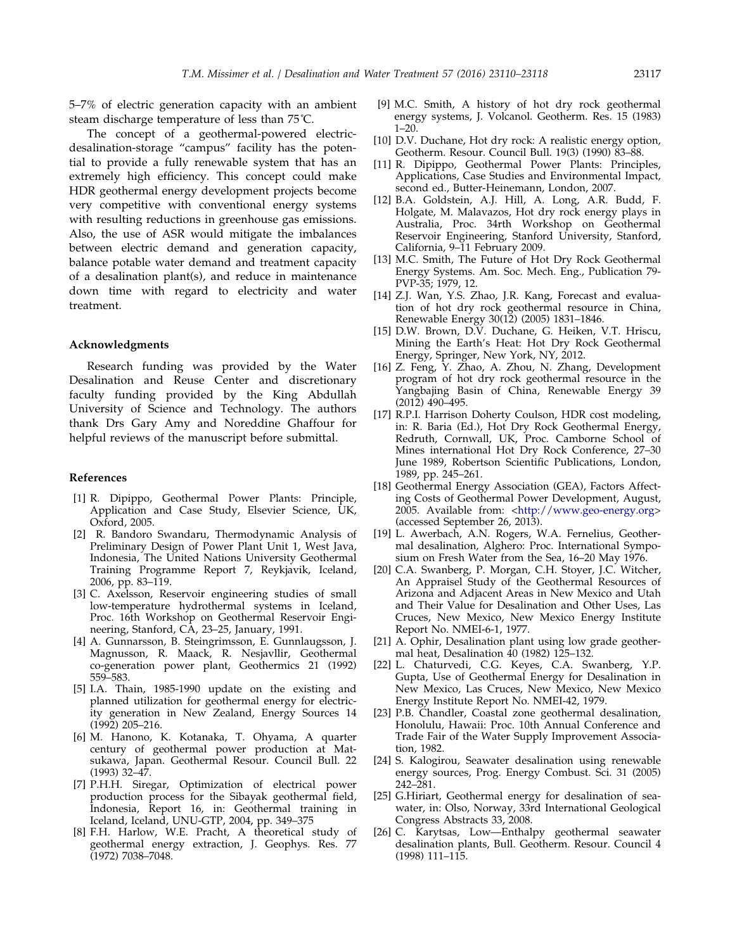<span id="page-7-0"></span>5–7% of electric generation capacity with an ambient steam discharge temperature of less than 75˚C.

The concept of a geothermal-powered electricdesalination-storage "campus" facility has the potential to provide a fully renewable system that has an extremely high efficiency. This concept could make HDR geothermal energy development projects become very competitive with conventional energy systems with resulting reductions in greenhouse gas emissions. Also, the use of ASR would mitigate the imbalances between electric demand and generation capacity, balance potable water demand and treatment capacity of a desalination plant(s), and reduce in maintenance down time with regard to electricity and water treatment.

### Acknowledgments

Research funding was provided by the Water Desalination and Reuse Center and discretionary faculty funding provided by the King Abdullah University of Science and Technology. The authors thank Drs Gary Amy and Noreddine Ghaffour for helpful reviews of the manuscript before submittal.

## References

- [1] R. Dipippo, Geothermal Power Plants: Principle, Application and Case Study, Elsevier Science, UK, Oxford, 2005.
- [2] R. Bandoro Swandaru, Thermodynamic Analysis of Preliminary Design of Power Plant Unit 1, West Java, Indonesia, The United Nations University Geothermal Training Programme Report 7, Reykjavik, Iceland, 2006, pp. 83–119.
- [3] C. Axelsson, Reservoir engineering studies of small low-temperature hydrothermal systems in Iceland, Proc. 16th Workshop on Geothermal Reservoir Engineering, Stanford, CA, 23–25, January, 1991.
- [4] A. Gunnarsson, B. Steingrimsson, E. Gunnlaugsson, J. Magnusson, R. Maack, R. Nesjavllir, Geothermal co-generation power plant, Geothermics 21 (1992) 559–583.
- [5] I.A. Thain, 1985-1990 update on the existing and planned utilization for geothermal energy for electricity generation in New Zealand, Energy Sources 14 (1992) 205–216.
- [6] M. Hanono, K. Kotanaka, T. Ohyama, A quarter century of geothermal power production at Matsukawa, Japan. Geothermal Resour. Council Bull. 22 (1993) 32–47.
- [7] P.H.H. Siregar, Optimization of electrical power production process for the Sibayak geothermal field, Indonesia, Report 16, in: Geothermal training in Iceland, Iceland, UNU-GTP, 2004, pp. 349–375
- [8] F.H. Harlow, W.E. Pracht, A theoretical study of geothermal energy extraction, J. Geophys. Res. 77 (1972) 7038–7048.
- [9] M.C. Smith, A history of hot dry rock geothermal energy systems, J. Volcanol. Geotherm. Res. 15 (1983)  $1-20.$
- [10] D.V. Duchane, Hot dry rock: A realistic energy option, Geotherm. Resour. Council Bull. 19(3) (1990) 83–88.
- [11] R. Dipippo, Geothermal Power Plants: Principles, Applications, Case Studies and Environmental Impact, second ed., Butter-Heinemann, London, 2007.
- [12] B.A. Goldstein, A.J. Hill, A. Long, A.R. Budd, F. Holgate, M. Malavazos, Hot dry rock energy plays in Australia, Proc. 34rth Workshop on Geothermal Reservoir Engineering, Stanford University, Stanford, California, 9–11 February 2009.
- [13] M.C. Smith, The Future of Hot Dry Rock Geothermal Energy Systems. Am. Soc. Mech. Eng., Publication 79- PVP-35; 1979, 12.
- [14] Z.J. Wan, Y.S. Zhao, J.R. Kang, Forecast and evaluation of hot dry rock geothermal resource in China, Renewable Energy 30(12) (2005) 1831–1846.
- [15] D.W. Brown, D.V. Duchane, G. Heiken, V.T. Hriscu, Mining the Earth's Heat: Hot Dry Rock Geothermal Energy, Springer, New York, NY, 2012.
- [16] Z. Feng, Y. Zhao, A. Zhou, N. Zhang, Development program of hot dry rock geothermal resource in the Yangbajing Basin of China, Renewable Energy 39 (2012) 490–495.
- [17] R.P.I. Harrison Doherty Coulson, HDR cost modeling, in: R. Baria (Ed.), Hot Dry Rock Geothermal Energy, Redruth, Cornwall, UK, Proc. Camborne School of Mines international Hot Dry Rock Conference, 27–30 June 1989, Robertson Scientific Publications, London, 1989, pp. 245–261.
- [18] Geothermal Energy Association (GEA), Factors Affecting Costs of Geothermal Power Development, August, 2005. Available from: [<http://www.geo-energy.org](http://www.geo-energy.org)> (accessed September 26, 2013).
- [19] L. Awerbach, A.N. Rogers, W.A. Fernelius, Geothermal desalination, Alghero: Proc. International Symposium on Fresh Water from the Sea, 16–20 May 1976.
- [20] C.A. Swanberg, P. Morgan, C.H. Stoyer, J.C. Witcher, An Appraisel Study of the Geothermal Resources of Arizona and Adjacent Areas in New Mexico and Utah and Their Value for Desalination and Other Uses, Las Cruces, New Mexico, New Mexico Energy Institute Report No. NMEI-6-1, 1977.
- [21] A. Ophir, Desalination plant using low grade geothermal heat, Desalination 40 (1982) 125–132.
- [22] L. Chaturvedi, C.G. Keyes, C.A. Swanberg, Y.P. Gupta, Use of Geothermal Energy for Desalination in New Mexico, Las Cruces, New Mexico, New Mexico Energy Institute Report No. NMEI-42, 1979.
- [23] P.B. Chandler, Coastal zone geothermal desalination, Honolulu, Hawaii: Proc. 10th Annual Conference and Trade Fair of the Water Supply Improvement Association, 1982.
- [24] S. Kalogirou, Seawater desalination using renewable energy sources, Prog. Energy Combust. Sci. 31 (2005) 242–281.
- [25] G.Hiriart, Geothermal energy for desalination of seawater, in: Olso, Norway, 33rd International Geological Congress Abstracts 33, 2008.
- [26] C. Karytsas, Low—Enthalpy geothermal seawater desalination plants, Bull. Geotherm. Resour. Council 4 (1998) 111–115.